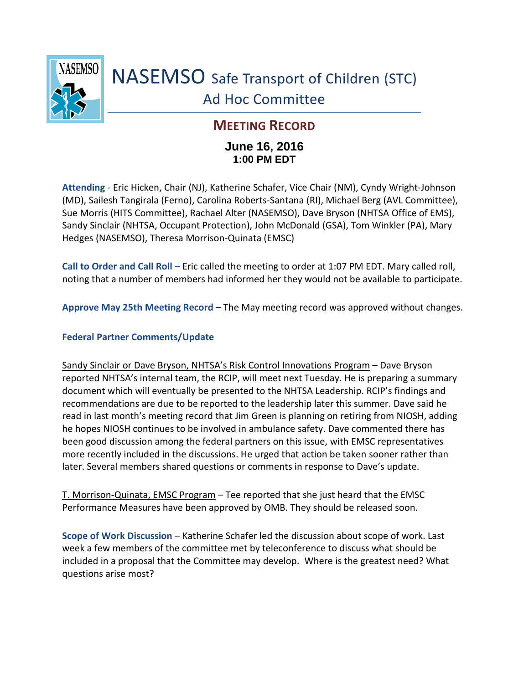

# NASEMSO Safe Transport of Children (STC) Ad Hoc Committee

## **MEETING RECORD**

### **June 16, 2016 1:00 PM EDT**

**Attending** - Eric Hicken, Chair (NJ), Katherine Schafer, Vice Chair (NM), Cyndy Wright-Johnson (MD), Sailesh Tangirala (Ferno), Carolina Roberts-Santana (RI), Michael Berg (AVL Committee), Sue Morris (HITS Committee), Rachael Alter (NASEMSO), Dave Bryson (NHTSA Office of EMS), Sandy Sinclair (NHTSA, Occupant Protection), John McDonald (GSA), Tom Winkler (PA), Mary Hedges (NASEMSO), Theresa Morrison-Quinata (EMSC)

**Call to Order and Call Roll** – Eric called the meeting to order at 1:07 PM EDT. Mary called roll, noting that a number of members had informed her they would not be available to participate.

**Approve May 25th Meeting Record** – The May meeting record was approved without changes.

#### **Federal Partner Comments/Update**

Sandy Sinclair or Dave Bryson, NHTSA's Risk Control Innovations Program – Dave Bryson reported NHTSA's internal team, the RCIP, will meet next Tuesday. He is preparing a summary document which will eventually be presented to the NHTSA Leadership. RCIP's findings and recommendations are due to be reported to the leadership later this summer. Dave said he read in last month's meeting record that Jim Green is planning on retiring from NIOSH, adding he hopes NIOSH continues to be involved in ambulance safety. Dave commented there has been good discussion among the federal partners on this issue, with EMSC representatives more recently included in the discussions. He urged that action be taken sooner rather than later. Several members shared questions or comments in response to Dave's update.

T. Morrison-Quinata, EMSC Program – Tee reported that she just heard that the EMSC Performance Measures have been approved by OMB. They should be released soon.

**Scope of Work Discussion** – Katherine Schafer led the discussion about scope of work. Last week a few members of the committee met by teleconference to discuss what should be included in a proposal that the Committee may develop. Where is the greatest need? What questions arise most?